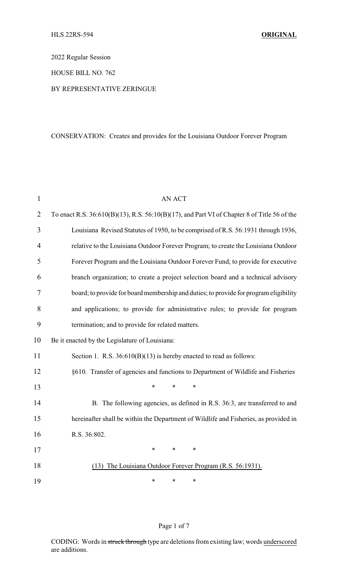2022 Regular Session

HOUSE BILL NO. 762

#### BY REPRESENTATIVE ZERINGUE

# CONSERVATION: Creates and provides for the Louisiana Outdoor Forever Program

| $\mathbf{1}$   | <b>AN ACT</b>                                                                                     |  |  |  |
|----------------|---------------------------------------------------------------------------------------------------|--|--|--|
| $\overline{2}$ | To enact R.S. $36:610(B)(13)$ , R.S. $56:10(B)(17)$ , and Part VI of Chapter 8 of Title 56 of the |  |  |  |
| 3              | Louisiana Revised Statutes of 1950, to be comprised of R.S. 56:1931 through 1936,                 |  |  |  |
| 4              | relative to the Louisiana Outdoor Forever Program; to create the Louisiana Outdoor                |  |  |  |
| 5              | Forever Program and the Louisiana Outdoor Forever Fund; to provide for executive                  |  |  |  |
| 6              | branch organization; to create a project selection board and a technical advisory                 |  |  |  |
| 7              | board; to provide for board membership and duties; to provide for program eligibility             |  |  |  |
| 8              | and applications; to provide for administrative rules; to provide for program                     |  |  |  |
| 9              | termination; and to provide for related matters.                                                  |  |  |  |
| 10             | Be it enacted by the Legislature of Louisiana:                                                    |  |  |  |
| 11             | Section 1. R.S. $36:610(B)(13)$ is hereby enacted to read as follows:                             |  |  |  |
| 12             | §610. Transfer of agencies and functions to Department of Wildlife and Fisheries                  |  |  |  |
| 13             | $\ast$<br>$\ast$<br>*                                                                             |  |  |  |
| 14             | B. The following agencies, as defined in R.S. 36:3, are transferred to and                        |  |  |  |
| 15             | hereinafter shall be within the Department of Wildlife and Fisheries, as provided in              |  |  |  |
| 16             | R.S. 36:802.                                                                                      |  |  |  |
| 17             | $\ast$<br>$\ast$<br>$\ast$                                                                        |  |  |  |
| 18             | (13) The Louisiana Outdoor Forever Program (R.S. 56:1931).                                        |  |  |  |
| 19             | *<br>∗<br>∗                                                                                       |  |  |  |

# Page 1 of 7

CODING: Words in struck through type are deletions from existing law; words underscored are additions.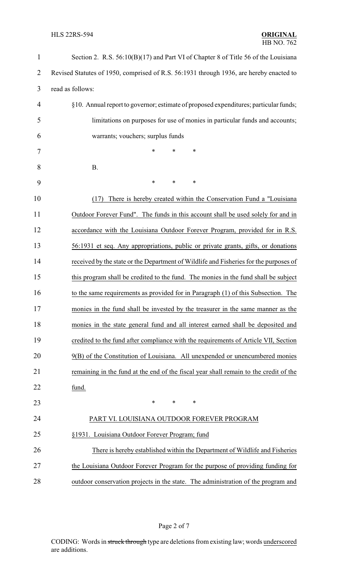## **HLS 22RS-594**

| $\mathbf{1}$   | Section 2. R.S. 56:10(B)(17) and Part VI of Chapter 8 of Title 56 of the Louisiana      |
|----------------|-----------------------------------------------------------------------------------------|
| $\overline{2}$ | Revised Statutes of 1950, comprised of R.S. 56:1931 through 1936, are hereby enacted to |
| 3              | read as follows:                                                                        |
| $\overline{4}$ | §10. Annual report to governor; estimate of proposed expenditures; particular funds;    |
| 5              | limitations on purposes for use of monies in particular funds and accounts;             |
| 6              | warrants; vouchers; surplus funds                                                       |
| 7              | *<br>$\ast$<br>$\ast$                                                                   |
| 8              | <b>B.</b>                                                                               |
| 9              | ∗<br>$\ast$<br>$\ast$                                                                   |
| 10             | There is hereby created within the Conservation Fund a "Louisiana"<br>(17)              |
| 11             | Outdoor Forever Fund". The funds in this account shall be used solely for and in        |
| 12             | accordance with the Louisiana Outdoor Forever Program, provided for in R.S.             |
| 13             | 56:1931 et seq. Any appropriations, public or private grants, gifts, or donations       |
| 14             | received by the state or the Department of Wildlife and Fisheries for the purposes of   |
| 15             | this program shall be credited to the fund. The monies in the fund shall be subject     |
| 16             | to the same requirements as provided for in Paragraph (1) of this Subsection. The       |
| 17             | monies in the fund shall be invested by the treasurer in the same manner as the         |
| 18             | monies in the state general fund and all interest earned shall be deposited and         |
| 19             | credited to the fund after compliance with the requirements of Article VII, Section     |
| 20             | 9(B) of the Constitution of Louisiana. All unexpended or unencumbered monies            |
| 21             | remaining in the fund at the end of the fiscal year shall remain to the credit of the   |
| 22             | fund.                                                                                   |
| 23             | $\ast$<br>$\ast$<br>*                                                                   |
| 24             | PART VI. LOUISIANA OUTDOOR FOREVER PROGRAM                                              |
| 25             | §1931. Louisiana Outdoor Forever Program; fund                                          |
| 26             | There is hereby established within the Department of Wildlife and Fisheries             |
| 27             | the Louisiana Outdoor Forever Program for the purpose of providing funding for          |
| 28             | outdoor conservation projects in the state. The administration of the program and       |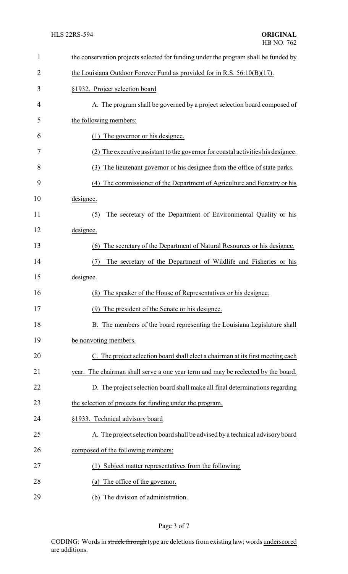| 1              | the conservation projects selected for funding under the program shall be funded by  |  |  |
|----------------|--------------------------------------------------------------------------------------|--|--|
| $\overline{2}$ | the Louisiana Outdoor Forever Fund as provided for in R.S. $56:10(B)(17)$ .          |  |  |
| 3              | §1932. Project selection board                                                       |  |  |
| 4              | A. The program shall be governed by a project selection board composed of            |  |  |
| 5              | the following members:                                                               |  |  |
| 6              | The governor or his designee.<br>(1)                                                 |  |  |
| 7              | (2) The executive assistant to the governor for coastal activities his designee.     |  |  |
| 8              | The lieutenant governor or his designee from the office of state parks.<br>(3)       |  |  |
| 9              | The commissioner of the Department of Agriculture and Forestry or his<br>(4)         |  |  |
| 10             | designee.                                                                            |  |  |
| 11             | The secretary of the Department of Environmental Quality or his<br>(5)               |  |  |
| 12             | designee.                                                                            |  |  |
| 13             | The secretary of the Department of Natural Resources or his designee.<br>(6)         |  |  |
| 14             | The secretary of the Department of Wildlife and Fisheries or his<br>(7)              |  |  |
| 15             | designee.                                                                            |  |  |
| 16             | The speaker of the House of Representatives or his designee.<br>(8)                  |  |  |
| 17             | (9) The president of the Senate or his designee.                                     |  |  |
| 18             | The members of the board representing the Louisiana Legislature shall                |  |  |
| 19             | be nonvoting members.                                                                |  |  |
| 20             | C. The project selection board shall elect a chairman at its first meeting each      |  |  |
| 21             | The chairman shall serve a one year term and may be reelected by the board.<br>year. |  |  |
| 22             | D. The project selection board shall make all final determinations regarding         |  |  |
| 23             | the selection of projects for funding under the program.                             |  |  |
| 24             | §1933. Technical advisory board                                                      |  |  |
| 25             | A. The project selection board shall be advised by a technical advisory board        |  |  |
| 26             | composed of the following members:                                                   |  |  |
| 27             | (1) Subject matter representatives from the following:                               |  |  |
| 28             | The office of the governor.<br>(a)                                                   |  |  |
| 29             | (b) The division of administration.                                                  |  |  |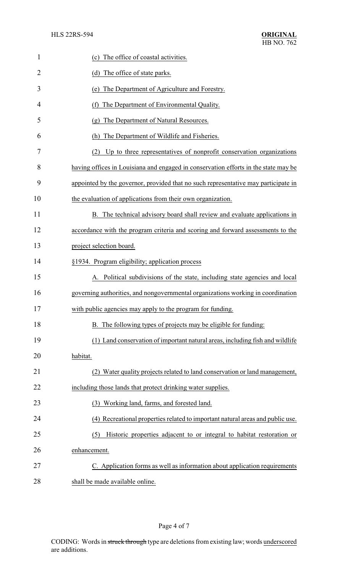| 1              | (c) The office of coastal activities.                                               |  |
|----------------|-------------------------------------------------------------------------------------|--|
| $\overline{2}$ | (d) The office of state parks.                                                      |  |
| 3              | The Department of Agriculture and Forestry.<br>(e)                                  |  |
| 4              | The Department of Environmental Quality.<br>(f)                                     |  |
| 5              | (g) The Department of Natural Resources.                                            |  |
| 6              | (h) The Department of Wildlife and Fisheries.                                       |  |
| 7              | (2) Up to three representatives of nonprofit conservation organizations             |  |
| 8              | having offices in Louisiana and engaged in conservation efforts in the state may be |  |
| 9              | appointed by the governor, provided that no such representative may participate in  |  |
| 10             | the evaluation of applications from their own organization.                         |  |
| 11             | B. The technical advisory board shall review and evaluate applications in           |  |
| 12             | accordance with the program criteria and scoring and forward assessments to the     |  |
| 13             | project selection board.                                                            |  |
| 14             | §1934. Program eligibility; application process                                     |  |
| 15             | Political subdivisions of the state, including state agencies and local             |  |
| 16             | governing authorities, and nongovernmental organizations working in coordination    |  |
| 17             | with public agencies may apply to the program for funding.                          |  |
| 18             | B. The following types of projects may be eligible for funding:                     |  |
| 19             | (1) Land conservation of important natural areas, including fish and wildlife       |  |
| 20             | habitat.                                                                            |  |
| 21             | (2) Water quality projects related to land conservation or land management,         |  |
| 22             | including those lands that protect drinking water supplies.                         |  |
| 23             | (3) Working land, farms, and forested land.                                         |  |
| 24             | (4) Recreational properties related to important natural areas and public use.      |  |
| 25             | Historic properties adjacent to or integral to habitat restoration or<br>(5)        |  |
| 26             | enhancement.                                                                        |  |
| 27             | C. Application forms as well as information about application requirements          |  |
| 28             | shall be made available online.                                                     |  |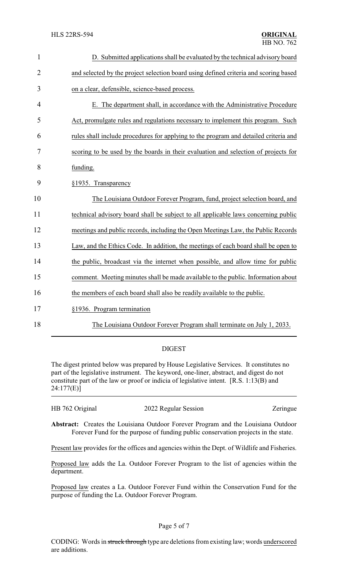| $\mathbf{1}$   | D. Submitted applications shall be evaluated by the technical advisory board         |
|----------------|--------------------------------------------------------------------------------------|
| $\overline{2}$ | and selected by the project selection board using defined criteria and scoring based |
| 3              | on a clear, defensible, science-based process.                                       |
| $\overline{4}$ | E. The department shall, in accordance with the Administrative Procedure             |
| 5              | Act, promulgate rules and regulations necessary to implement this program. Such      |
| 6              | rules shall include procedures for applying to the program and detailed criteria and |
| 7              | scoring to be used by the boards in their evaluation and selection of projects for   |
| 8              | funding.                                                                             |
| 9              | §1935. Transparency                                                                  |
| 10             | The Louisiana Outdoor Forever Program, fund, project selection board, and            |
| 11             | technical advisory board shall be subject to all applicable laws concerning public   |
| 12             | meetings and public records, including the Open Meetings Law, the Public Records     |
| 13             | Law, and the Ethics Code. In addition, the meetings of each board shall be open to   |
| 14             | the public, broadcast via the internet when possible, and allow time for public      |
| 15             | comment. Meeting minutes shall be made available to the public. Information about    |
| 16             | the members of each board shall also be readily available to the public.             |
| 17             | §1936. Program termination                                                           |
| 18             | The Louisiana Outdoor Forever Program shall terminate on July 1, 2033.               |

### DIGEST

The digest printed below was prepared by House Legislative Services. It constitutes no part of the legislative instrument. The keyword, one-liner, abstract, and digest do not constitute part of the law or proof or indicia of legislative intent. [R.S. 1:13(B) and 24:177(E)]

| HB 762 Original | 2022 Regular Session | Zeringue |
|-----------------|----------------------|----------|
|                 |                      |          |

**Abstract:** Creates the Louisiana Outdoor Forever Program and the Louisiana Outdoor Forever Fund for the purpose of funding public conservation projects in the state.

Present law provides for the offices and agencies within the Dept. of Wildlife and Fisheries.

Proposed law adds the La. Outdoor Forever Program to the list of agencies within the department.

Proposed law creates a La. Outdoor Forever Fund within the Conservation Fund for the purpose of funding the La. Outdoor Forever Program.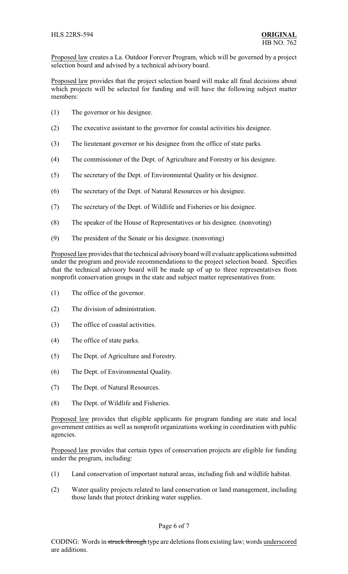Proposed law creates a La. Outdoor Forever Program, which will be governed by a project selection board and advised by a technical advisory board.

Proposed law provides that the project selection board will make all final decisions about which projects will be selected for funding and will have the following subject matter members:

- (1) The governor or his designee.
- (2) The executive assistant to the governor for coastal activities his designee.
- (3) The lieutenant governor or his designee from the office of state parks.
- (4) The commissioner of the Dept. of Agriculture and Forestry or his designee.
- (5) The secretary of the Dept. of Environmental Quality or his designee.
- (6) The secretary of the Dept. of Natural Resources or his designee.
- (7) The secretary of the Dept. of Wildlife and Fisheries or his designee.
- (8) The speaker of the House of Representatives or his designee. (nonvoting)
- (9) The president of the Senate or his designee. (nonvoting)

Proposed law provides that the technical advisoryboard will evaluate applications submitted under the program and provide recommendations to the project selection board. Specifies that the technical advisory board will be made up of up to three representatives from nonprofit conservation groups in the state and subject matter representatives from:

- (1) The office of the governor.
- (2) The division of administration.
- (3) The office of coastal activities.
- (4) The office of state parks.
- (5) The Dept. of Agriculture and Forestry.
- (6) The Dept. of Environmental Quality.
- (7) The Dept. of Natural Resources.
- (8) The Dept. of Wildlife and Fisheries.

Proposed law provides that eligible applicants for program funding are state and local government entities as well as nonprofit organizations working in coordination with public agencies.

Proposed law provides that certain types of conservation projects are eligible for funding under the program, including:

- (1) Land conservation of important natural areas, including fish and wildlife habitat.
- (2) Water quality projects related to land conservation or land management, including those lands that protect drinking water supplies.